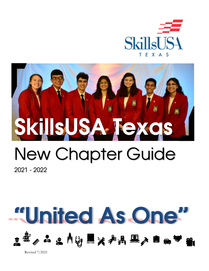

# SkillsUSA Texas

# New Chapter Guide

2021 - 2022

Revised 7/2021

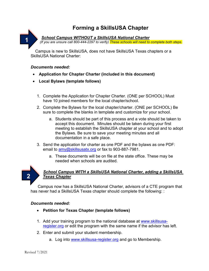# **Forming a SkillsUSA Chapter**

**1**

*School Campus WITHOUT a SkillsUSA National Charter*

*(If you are unsure call 800-444-2297 to verify) These schools will need to complete both steps.*

Campus is new to SkillsUSA, does not have SkillsUSA Texas chapters or a SkillsUSA National Charter:

#### *Documents needed:*

- **Application for Chapter Charter (included in this document)**
- **Local Bylaws (template follows)**
	- 1. Complete the Application for Chapter Charter. (ONE per SCHOOL) Must have 10 joined members for the local chapter/school.
	- 2. Complete the Bylaws for the local chapter/charter. (ONE per SCHOOL) Be sure to complete the blanks in template and customize for your school.
		- a. Students should be part of this process and a vote should be taken to accept this document. Minutes should be taken during your first meeting to establish the SkillsUSA chapter at your school and to adopt the Bylaws. Be sure to save your meeting minutes and all documentation in a safe place.
	- 3. Send the application for charter as one PDF and the bylaws as one PDF: email to [amy@skillsusatx.org](mailto:amy@skillsusatx.org) or fax to 903-887-7981.
		- a. These documents will be on file at the state office. These may be needed when schools are audited.



#### *School Campus WITH a SkillsUSA National Charter, adding a SkillsUSA Texas Chapter*

Campus now has a SkillsUSA National Charter, advisors of a CTE program that has never had a SkillsUSA Texas chapter should complete the following: :

#### *Documents needed:*

- **Petition for Texas Chapter (template follows)**
- 1. Add your training program to the national database at [www.skillsusa](http://www.skillsusa-register.org/)[register.org](http://www.skillsusa-register.org/) or edit the program with the same name if the advisor has left.
- 2. Enter and submit your student membership.
	- a. Log into **www.skillsusa-register.org** and go to Membership.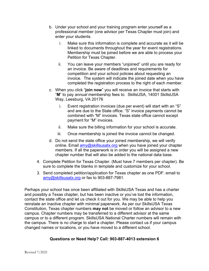- b. Under your school and your training program enter yourself as a professional member (one advisor per Texas Chapter must join) and enter your students.
	- i. Make sure this information is complete and accurate as it will be linked to documents throughout the year for event registrations. Membership must be joined before we are able to process your Petition for Texas Chapter.
	- ii. You can leave your members "unjoined" until you are ready for an invoice. Be aware of deadlines and requirements for competition and your school policies about requesting an invoice. The system will indicate the joined date when you have completed the registration process to the right of each member.
- c. When you click "**join now**" you will receive an invoice that starts with "**M**" to pay *annual* membership fees to: SkillsUSA, 14001 SkillsUSA Way, Leesburg, VA 20176
	- i. Event registration invoices (due per event) will start with an "S" and are due to the State office. "S" invoice payments cannot be combined with "M" invoices. Texas state office cannot except payment for "M" invoices.
	- ii. Make sure the billing information for your school is accurate.
	- iii. Once membership is joined the invoice cannot be changed.
- d. Do not send the state office your joined membership, we will verify online. Email [amy@skillsusatx.org](mailto:amy@skillsusatx.org) when you have joined your chapter members. If all the paperwork is in order you will be assigned a new chapter number that will also be added to the national data base.
- 4. Complete Petition for Texas Chapter. (Must have 7 members per chapter). Be sure to complete the blanks in template and customize for your school.
- 3. Send completed petition/application for Texas chapter as one PDF: email to [amy@skillsusatx.org](mailto:amy@skillsusatx.org) or fax to 903-887-7981.

Perhaps your school has once been affiliated with SkillsUSA Texas and has a charter and possibly a Texas chapter, but has been inactive or you've lost the information, contact the state office and let us check it out for you. We may be able to help you reinstate an inactive chapter with minimal paperwork. As per our SkillsUSA Texas Constitution, Texas chapter numbers **may not** be moved or follow an advisor to a new campus. Chapter numbers may be transferred to a different advisor at the same campus or to a different program. SkillsUSA National Charter numbers will remain with the campus. There is no charge to start a chapter. Please contact us if your campus changed names or locations, or you have moved to a different school.

#### **Questions or Need Help? Call: 903-887-4013 extension 6**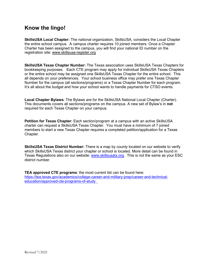### **Know the lingo!**

**SkillsUSA Local Chapter:** The national organization, SkillsUSA, considers the Local Chapter the entire school campus. A campus charter requires 10 joined members. Once a Chapter Charter has been assigned to the campus, you will find your national ID number on the registration site: [www.skillsusa-register.org](http://www.skillsusa-register.org/) 

**SkillsUSA Texas Chapter Number:** The Texas association uses SkillsUSA Texas Chapters for bookkeeping purposes. Each CTE program may apply for individual SkillsUSA Texas Chapters or the entire school may be assigned one SkillsUSA Texas Chapter for the entire school. This all depends on your preferences. Your school business office may prefer one Texas Chapter Number for the campus (all sections/programs) or a Texas Chapter Number for each program. It's all about the budget and how your school wants to handle payments for CTSO events.

**Local Chapter Bylaws**: The Bylaws are for the SkillsUSA National Local Chapter (Charter). This documents covers all sections/programs on the campus. A new set of Bylaw's in **not** required for each Texas Chapter on your campus.

**Petition for Texas Chapter**: Each section/program at a campus with an active SkillsUSA charter can request a SkillsUSA Texas Chapter. You must have a minimum of 7 joined members to start a new Texas Chapter requires a completed petition/application for a Texas Chapter.

**SkillsUSA Texas District Number:** There is a map by county located on our website to verify which SkillsUSA Texas district your chapter or school is located. More detail can be found in Texas Regulations also on our website: [www.skillsusatx.org.](http://www.skillsusatx.org/) This is not the same as your ESC district number.

**TEA approved CTE programs**: the most current list can be found here: [https://tea.texas.gov/academics/college-career-and-military-prep/career-and-technical](https://tea.texas.gov/academics/college-career-and-military-prep/career-and-technical-education/approved-cte-programs-of-study)[education/approved-cte-programs-of-study](https://tea.texas.gov/academics/college-career-and-military-prep/career-and-technical-education/approved-cte-programs-of-study)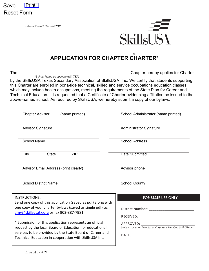

National Form 9 Revised 7/12



# **APPLICATION FOR CHAPTER CHARTER\***

The the contraction of the contraction of the contraction of the Chapter hereby applies for Charter

*(School Name-as appears with TEA)* by the SkillsUSA Texas Secondary Association of SkillsUSA, Inc. We certify that students supporting this Charter are enrolled in bona-fide technical, skilled and service occupations education classes, which may include health occupations, meeting the requirements of the State Plan for Career and Technical Education. It is requested that a Certificate of Charter evidencing affiliation be issued to the above-named school. As required by SkillsUSA, we hereby submit a copy of our bylaws.

| <b>Chapter Advisor</b><br>(name printed)                                                                           | School Administrator (name printed)                                                                                                                                                                                            |
|--------------------------------------------------------------------------------------------------------------------|--------------------------------------------------------------------------------------------------------------------------------------------------------------------------------------------------------------------------------|
| <b>Advisor Signature</b>                                                                                           | <b>Administrator Signature</b>                                                                                                                                                                                                 |
| <b>School Name</b>                                                                                                 | <b>School Address</b>                                                                                                                                                                                                          |
| <b>State</b><br><b>ZIP</b><br>City                                                                                 | Date Submitted                                                                                                                                                                                                                 |
| Advisor Email Address (print clearly)                                                                              | Advisor phone                                                                                                                                                                                                                  |
| <b>School District Name</b>                                                                                        | <b>School County</b>                                                                                                                                                                                                           |
| <b>INSTRUCTIONS:</b><br>Send one copy of this application (saved as pdf) along with                                | <b>FOR STATE USE ONLY</b>                                                                                                                                                                                                      |
| one copy of your charter bylaws (saved as single pdf) to:<br>amy@skillsusatx.org or fax 903-887-7981               |                                                                                                                                                                                                                                |
| * Submission of this application represents an official<br>request by the local Board of Education for educational |                                                                                                                                                                                                                                |
| services to be provided by the State Board of Career and<br>Technical Education in cooperation with SkillsUSA Inc. | DATE: the contract of the contract of the contract of the contract of the contract of the contract of the contract of the contract of the contract of the contract of the contract of the contract of the contract of the cont |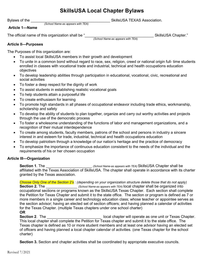# **SkillsUSA Local Chapter Bylaws**

*(School Name-as appears with TEA)*

Bylaws of the **Example 20** and the control of the state of the SkillsUSA TEXAS Association.

#### **Article 1—Name**

The official name of this organization shall be "\_\_\_\_\_\_\_\_\_\_\_\_\_\_\_\_\_\_\_\_\_\_\_\_\_\_\_\_\_\_\_\_\_ SkillsUSA Chapter."

*(School Name-as appears with TEA)*

#### **Article II—Purposes**

The Purposes of this organization are:

- To assist local SkillsUSA members in their growth and development
- To unite in a common bond without regard to race, sex, religion, creed or national origin full- time students enrolled in classes with vocational trade and industrial, technical and health occupations education objectives
- To develop leadership abilities through participation in educational, vocational, civic, recreational and social activities
- To foster a deep respect for the dignity of work
- To assist students in establishing realistic vocational goals
- To help students attain a purposeful life
- To create enthusiasm for learning
- To promote high standards in all phases of occupational endeavor including trade ethics, workmanship, scholarship and safety
- To develop the ability of students to plan together, organize and carry out worthy activities and projects through the use of the democratic process
- To foster a wholesome understanding of the functions of labor and management organizations, and a recognition of their mutual interdependence
- To create among students, faculty members, patrons of the school and persons in industry a sincere interest in and esteem for trade, industrial, technical and health occupations education
- To develop patriotism through a knowledge of our nation's heritage and the practice of democracy
- To emphasize the importance of continuous education consistent to the needs of the individual and the requirements of his or her chosen occupation

#### **Article III—Organization**

**Section 1**. The \_\_\_\_\_\_\_\_\_\_\_\_\_\_\_\_\_\_\_\_\_\_ *(School Name-as appears with TEA)* SkillsUSA Chapter shall be affiliated with the Texas Association of SkillsUSA. The chapter shall operate in accordance with its charter granted by the Texas association.

*Choose Only One of the Section 2's : (depending on your organization structure delete those that do not apply)*  **Section 2.** The \_\_\_\_\_\_\_\_\_\_\_\_\_\_\_ *(School Name-as appears with TEA)* local chapter shall be organized into occupational sections or programs known as the SkillsUSA Texas Chapter. Each section shall complete the Petition for Texas Chapter and submit it to the state office. The section or program is defined as 7 or more members in a single career and technology education class; whose teacher or appointee serves as the section advisor; having an elected set of section officers; and having planned a calendar of activities for the Texas Chapter. (multiple Texas chapters under one school charter)

**OR** 

**Section 2**. The **Section 2**. The **Section 2**. The setting the setting of the local chapter will operate as one unit or Texas Chapter. This local chapter shall complete the Petition for Texas chapter and submit it to the state office. The Texas chapter is defined as 10 or more student members and at least one advisor having an elected set of officers and having planned a local chapter calendar of activities. (one Texas chapter for the school charter)

**Section 3.** Section and chapter activities shall be coordinated by appropriate executive councils.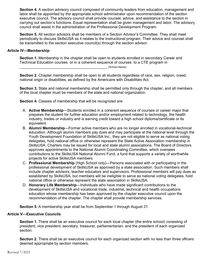**Section 4.** A section advisory council composed of community leaders from education, management and labor shall be appointed by the appropriate school administrator upon recommendation of the section executive council. The advisory council shall provide counsel, advice, and assistance to the section in carrying out section's functions. Equal representation shall be given management and labor. The advisory council shall assist in the administration of the Professional Development Program.

**Section 5.** All section advisors shall be members of a Section Advisor's Committee. They shall meet periodically to discuss SkillsUSA as it relates to the instructional program. Their advice and counsel shall be transmitted to the section executive council(s) through the section advisor.

#### **Article IV—Membership**

**Section 1.** Membership in the chapter shall be open to students enrolled in secondary Career and Technical Education courses or in a coherent sequence of courses to a CTE program in

\_\_\_\_\_\_\_\_\_\_\_\_\_\_\_\_\_\_\_\_\_\_\_\_\_\_\_\_\_\_\_\_\_\_\_\_\_\_\_\_\_\_ *(School Name)*

**Section 2.** Chapter membership shall be open to all students regardless of race, sex, religion, creed, national origin or disabilities, as defined by the Americans with Disabilities Act.

**Section 3.** State and national membership shall be permitted only through the chapter, and all members of the local chapter must be members of the state and national organization.

**Section 4.** Classes of membership that will be recognized are:

- A. **Active Membership**—Students enrolled in a coherent sequence of courses or career major that prepares the student for further education and/or employment related to technology, the health industry, trades or industry and is earning credit toward a high school diploma/certificate or its equivalent.
- B. **Alumni Membership**—Former active members who are no longer enrolled in vocational-technical education. Although alumni members pay dues and may participate at the national level through the Youth Development Foundation of SkillsUSA Inc., they are not eligible to serve as national voting delegates, hold national office or otherwise represent the State Active Association membership in SkillsUSA. Charters may be issued for local and state alumni associations. The Board of Directors approves appointments to the National Alumni Coordinating Committee, which oversees contributions to the SkillsUSA National Alumni Fund, a fund that supports a variety of worthwhile projects for active SkillsUSA members.
- C. **Professional Membership** (High School only)—Persons associated with or participating in the professional development of SkillsUSA as approved by a state association. Such members shall include chapter advisors, teacher educators and supervisors. Professional members will pay dues as established by SkillsUSA, but members will be ineligible to serve as national voting delegates, hold national office or otherwise represent the state association in SkillsUSA.
- D. **Honorary Life Membership**—Individuals who have made significant contributions to the development of SkillsUSA and vocational trade, industrial, technical and health occupations education whose membership has been approved by the chapter executive council upon the recommendation of the chapter. The chapter shall provide membership services.

**Section 5**. A membership year shall be from September 1 through August 31.

#### **Article V—Executive Councils**

**Section 1.** There shall be an executive council for each local chapter (the entire school) consisting of president, vice president, secretary, treasurer, parliamentarian, and the president of each organized section.

**Section 2**. There shall be an executive council for each organized section with no less than three officers deemed appropriate by section members.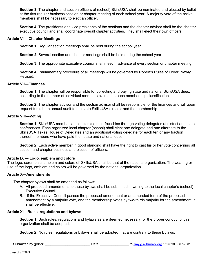**Section 3**. The chapter and section officers of (school) SkillsUSA shall be nominated and elected by ballot at the first regular business session or chapter meeting of each school year. A majority vote of the active members shall be necessary to elect an officer.

**Section 4.** The presidents and vice presidents of the sections and the chapter advisor shall be the chapter executive council and shall coordinate overall chapter activities. They shall elect their own officers.

#### **Article VI— Chapter Meetings**

**Section 1**. Regular section meetings shall be held during the school year.

**Section 2.** Several section and chapter meetings shall be held during the school year.

**Section 3.** The appropriate executive council shall meet in advance of every section or chapter meeting.

**Section 4.** Parliamentary procedure of all meetings will be governed by Robert's Rules of Order, Newly Revised.

#### **Article VII—Finances**

**Section 1.** The chapter will be responsible for collecting and paying state and national SkillsUSA dues, according to the number of individual members claimed in each membership classification.

**Section 2.** The chapter advisor and the section advisor shall be responsible for the finances and will upon request furnish an annual audit to the state SkillsUSA director and the membership.

#### **Article VIII—Voting**

**Section 1.** SkillsUSA members shall exercise their franchise through voting delegates at district and state conferences. Each organized local chapter (school) shall elect one delegate and one alternate to the SkillsUSA Texas House of Delegates and an additional voting delegate for each ten or any fraction thereof, members who have paid their state and national dues.

**Section 2**. Each active member in good standing shall have the right to cast his or her vote concerning all section and chapter business and election of officers.

#### **Article IX — Logo, emblem and colors**

The logo, ceremonial emblem and colors of SkillsUSA shall be that of the national organization. The wearing or use of the logo, emblem and colors will be governed by the national organization.

#### **Article X—Amendments**

The chapter bylaws shall be amended as follows:

- A. All proposed amendments to these bylaws shall be submitted in writing to the local chapter's (school) Executive Council.
- B. If the Executive Council passes the proposed amendment or an amended form of the proposed amendment by a majority vote, and the membership votes by two-thirds majority for the amendment, it shall be effective.

#### **Article XI—Rules, regulations and bylaws**

**Section 1**. Such rules, regulations and bylaws as are deemed necessary for the proper conduct of this organization shall be adopted.

**Section 2.** No rules, regulations or bylaws shall be adopted that are contrary to these Bylaws.

| Submitted by (print): | Date | to amy@skillsusatx.org or fax 903-887-7981 |
|-----------------------|------|--------------------------------------------|
|                       |      |                                            |